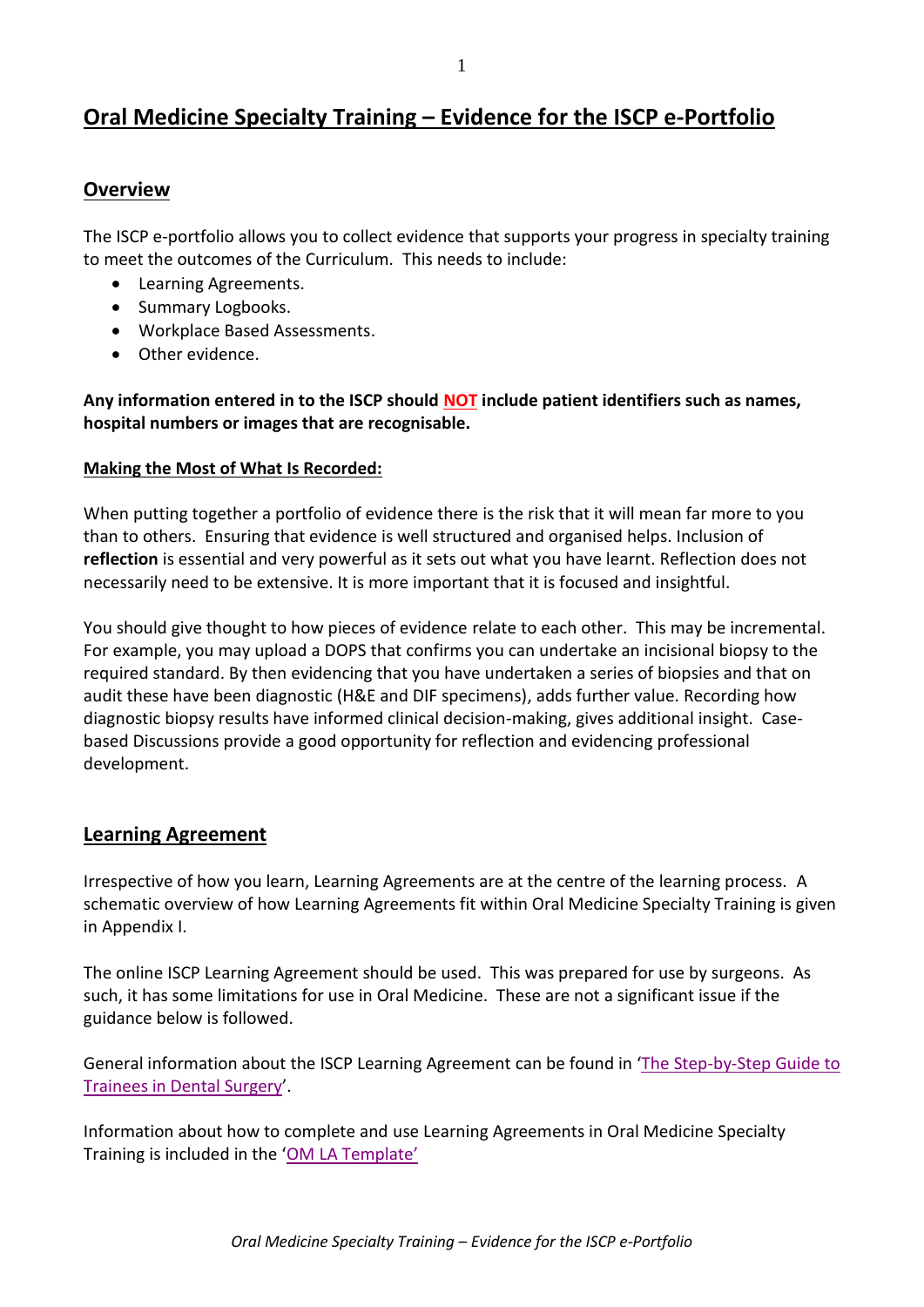# **Oral Medicine Specialty Training – Evidence for the ISCP e-Portfolio**

## **Overview**

The ISCP e-portfolio allows you to collect evidence that supports your progress in specialty training to meet the outcomes of the Curriculum. This needs to include:

- Learning Agreements.
- Summary Logbooks.
- Workplace Based Assessments.
- Other evidence.

**Any information entered in to the ISCP should NOT include patient identifiers such as names, hospital numbers or images that are recognisable.**

#### **Making the Most of What Is Recorded:**

When putting together a portfolio of evidence there is the risk that it will mean far more to you than to others. Ensuring that evidence is well structured and organised helps. Inclusion of **reflection** is essential and very powerful as it sets out what you have learnt. Reflection does not necessarily need to be extensive. It is more important that it is focused and insightful.

You should give thought to how pieces of evidence relate to each other. This may be incremental. For example, you may upload a DOPS that confirms you can undertake an incisional biopsy to the required standard. By then evidencing that you have undertaken a series of biopsies and that on audit these have been diagnostic (H&E and DIF specimens), adds further value. Recording how diagnostic biopsy results have informed clinical decision-making, gives additional insight. Casebased Discussions provide a good opportunity for reflection and evidencing professional development.

## **Learning Agreement**

Irrespective of how you learn, Learning Agreements are at the centre of the learning process. A schematic overview of how Learning Agreements fit within Oral Medicine Specialty Training is given in Appendix I.

The online ISCP Learning Agreement should be used. This was prepared for use by surgeons. As such, it has some limitations for use in Oral Medicine. These are not a significant issue if the guidance below is followed.

General information about the ISCP Learning Agreement can be found in '[The Step-by-Step Guide to](https://www.iscp.ac.uk/static/public/stepbystep_dental_jan2012.pdf)  [Trainees in Dental Surgery](https://www.iscp.ac.uk/static/public/stepbystep_dental_jan2012.pdf)'.

Information about how to complete and use Learning Agreements in Oral Medicine Specialty Training is included in the 'OM [LA Template'](https://www.iscp.ac.uk/static/public/OMtemplateLearningAgreement.pdf)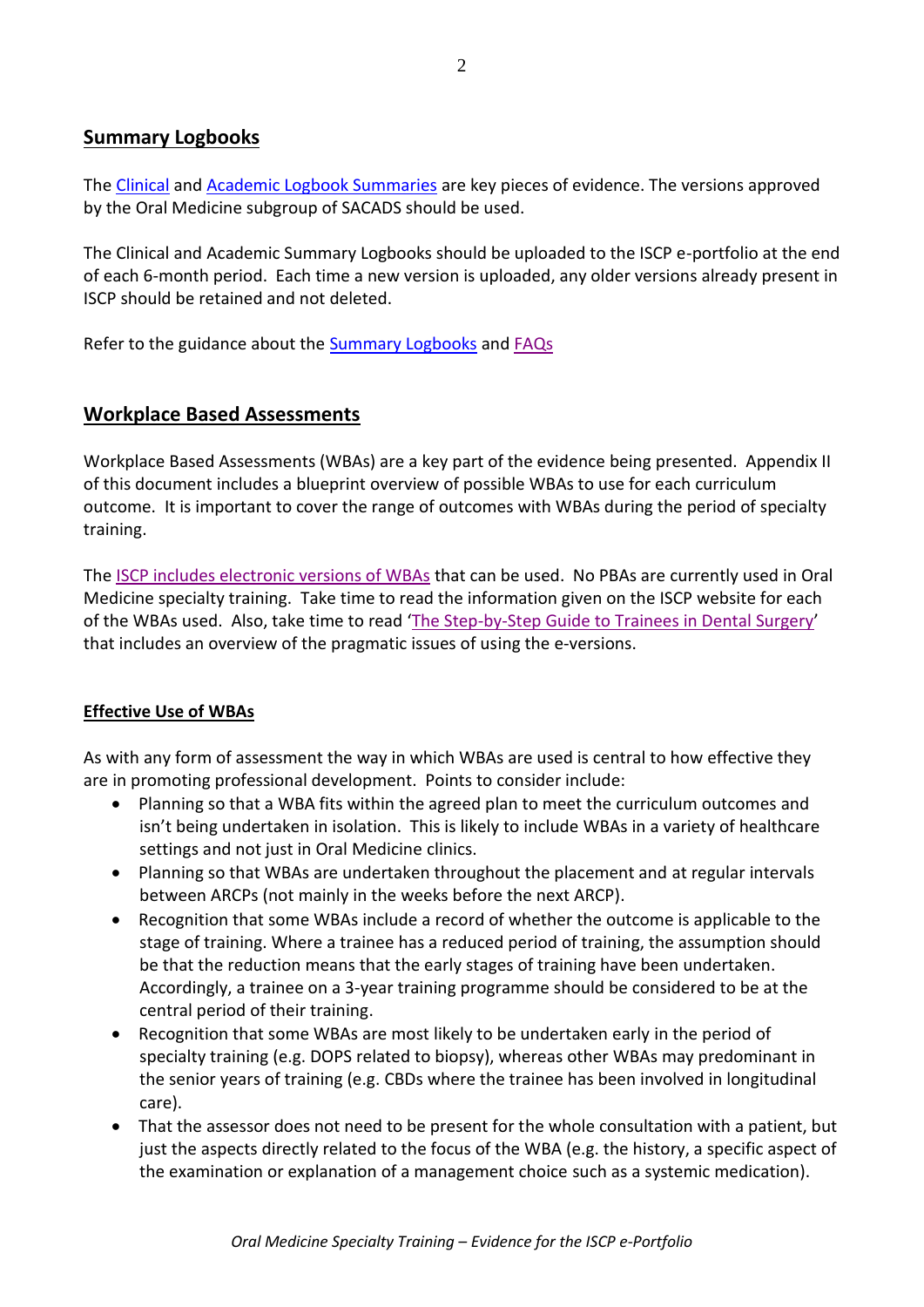# **Summary Logbooks**

Th[e Clinical](https://www.iscp.ac.uk/static/public/ClinicalLogbookSummaryDec2013.xlsx) and [Academic Logbook Summaries](https://www.iscp.ac.uk/static/public/AcademicLogbookSummaryDec2013.xlsx) are key pieces of evidence. The versions approved by the Oral Medicine subgroup of SACADS should be used.

The Clinical and Academic Summary Logbooks should be uploaded to the ISCP e-portfolio at the end of each 6-month period. Each time a new version is uploaded, any older versions already present in ISCP should be retained and not deleted.

Refer to the guidance about the [Summary Logbooks](https://www.iscp.ac.uk/static/public/SummaryLogbookIntroductionDec2013.pdf) and [FAQs](https://www.iscp.ac.uk/static/public/SummaryLogBookFAQsDec2013.pdf)

# **Workplace Based Assessments**

Workplace Based Assessments (WBAs) are a key part of the evidence being presented. Appendix II of this document includes a blueprint overview of possible WBAs to use for each curriculum outcome. It is important to cover the range of outcomes with WBAs during the period of specialty training.

Th[e ISCP includes electronic versions of WBAs](https://www.iscp.ac.uk/dental/wbas.aspx) that can be used. No PBAs are currently used in Oral Medicine specialty training. Take time to read the information given on the ISCP website for each of the WBAs used. Also, take time to read '[The Step-by-Step Guide to Trainees in Dental Surgery](https://www.iscp.ac.uk/static/public/stepbystep_dental_jan2012.pdf)' that includes an overview of the pragmatic issues of using the e-versions.

## **Effective Use of WBAs**

As with any form of assessment the way in which WBAs are used is central to how effective they are in promoting professional development. Points to consider include:

- Planning so that a WBA fits within the agreed plan to meet the curriculum outcomes and isn't being undertaken in isolation. This is likely to include WBAs in a variety of healthcare settings and not just in Oral Medicine clinics.
- Planning so that WBAs are undertaken throughout the placement and at regular intervals between ARCPs (not mainly in the weeks before the next ARCP).
- Recognition that some WBAs include a record of whether the outcome is applicable to the stage of training. Where a trainee has a reduced period of training, the assumption should be that the reduction means that the early stages of training have been undertaken. Accordingly, a trainee on a 3-year training programme should be considered to be at the central period of their training.
- Recognition that some WBAs are most likely to be undertaken early in the period of specialty training (e.g. DOPS related to biopsy), whereas other WBAs may predominant in the senior years of training (e.g. CBDs where the trainee has been involved in longitudinal care).
- That the assessor does not need to be present for the whole consultation with a patient, but just the aspects directly related to the focus of the WBA (e.g. the history, a specific aspect of the examination or explanation of a management choice such as a systemic medication).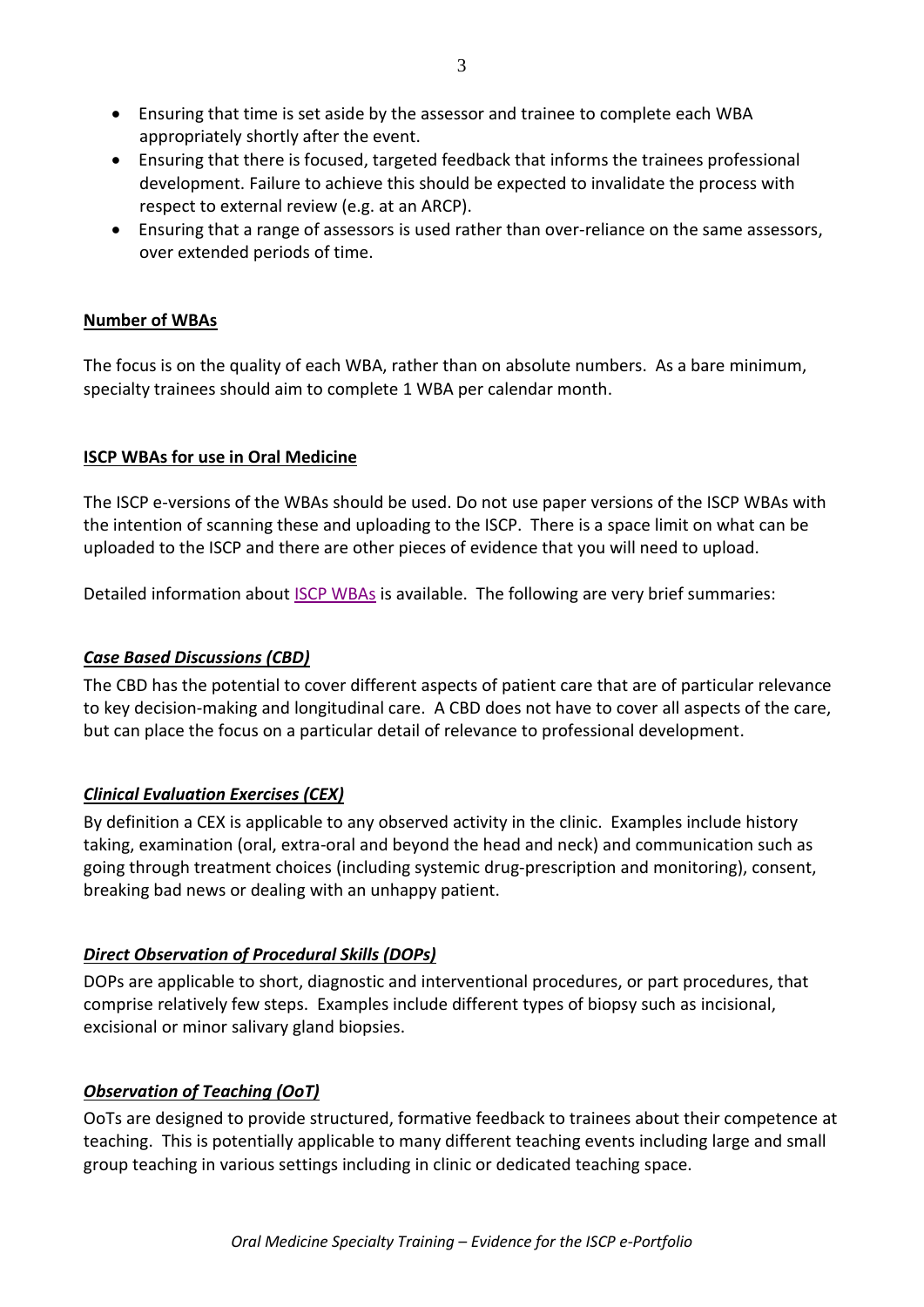- Ensuring that time is set aside by the assessor and trainee to complete each WBA appropriately shortly after the event.
- Ensuring that there is focused, targeted feedback that informs the trainees professional development. Failure to achieve this should be expected to invalidate the process with respect to external review (e.g. at an ARCP).
- Ensuring that a range of assessors is used rather than over-reliance on the same assessors, over extended periods of time.

#### **Number of WBAs**

The focus is on the quality of each WBA, rather than on absolute numbers. As a bare minimum, specialty trainees should aim to complete 1 WBA per calendar month.

#### **ISCP WBAs for use in Oral Medicine**

The ISCP e-versions of the WBAs should be used. Do not use paper versions of the ISCP WBAs with the intention of scanning these and uploading to the ISCP. There is a space limit on what can be uploaded to the ISCP and there are other pieces of evidence that you will need to upload.

Detailed information about [ISCP WBAs](https://www.iscp.ac.uk/dental/wbas.aspx) is available. The following are very brief summaries:

## *Case Based Discussions (CBD)*

The CBD has the potential to cover different aspects of patient care that are of particular relevance to key decision-making and longitudinal care. A CBD does not have to cover all aspects of the care, but can place the focus on a particular detail of relevance to professional development.

## *Clinical Evaluation Exercises (CEX)*

By definition a CEX is applicable to any observed activity in the clinic. Examples include history taking, examination (oral, extra-oral and beyond the head and neck) and communication such as going through treatment choices (including systemic drug-prescription and monitoring), consent, breaking bad news or dealing with an unhappy patient.

## *Direct Observation of Procedural Skills (DOPs)*

DOPs are applicable to short, diagnostic and interventional procedures, or part procedures, that comprise relatively few steps. Examples include different types of biopsy such as incisional, excisional or minor salivary gland biopsies.

## *Observation of Teaching (OoT)*

OoTs are designed to provide structured, formative feedback to trainees about their competence at teaching. This is potentially applicable to many different teaching events including large and small group teaching in various settings including in clinic or dedicated teaching space.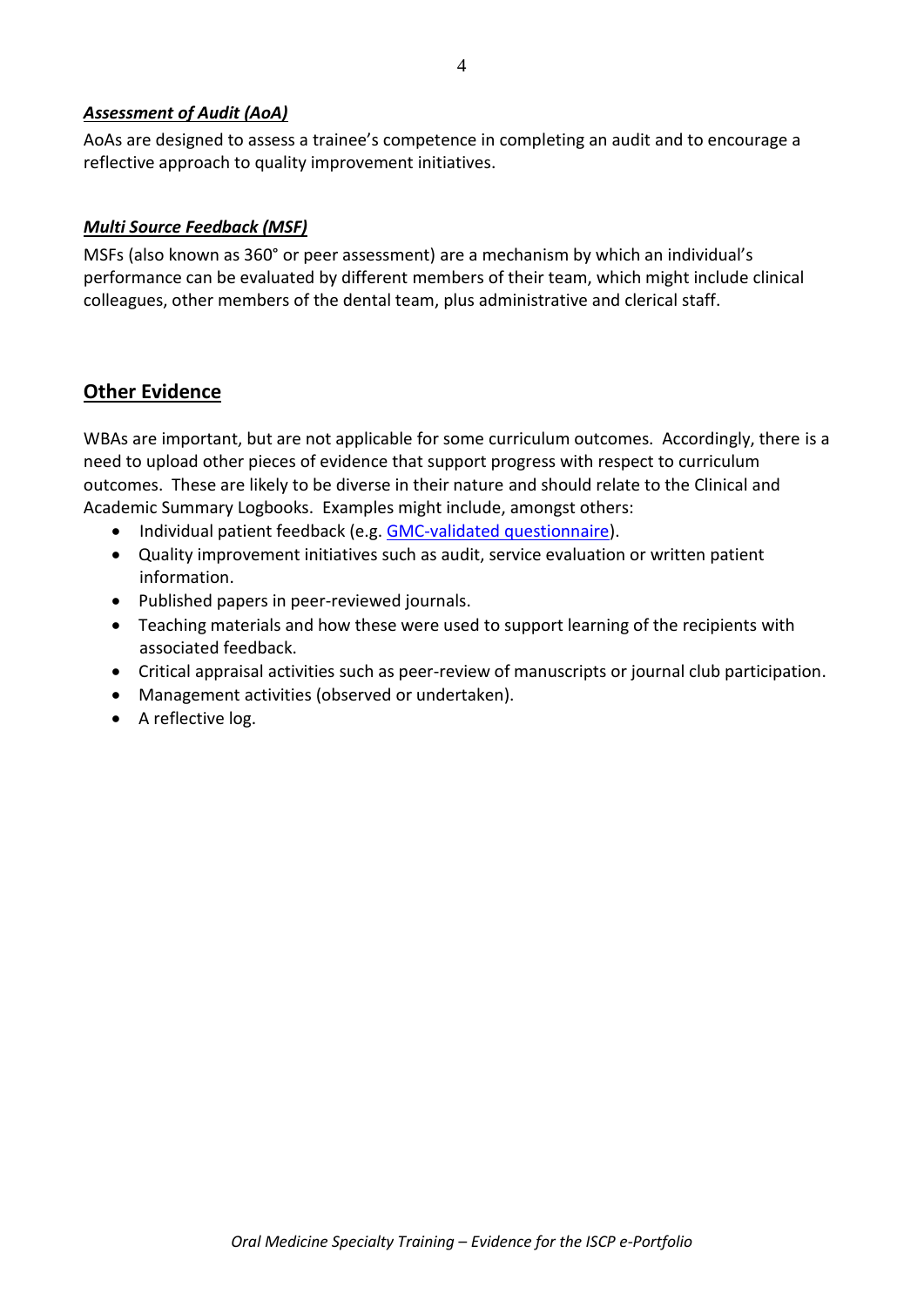#### *Assessment of Audit (AoA)*

AoAs are designed to assess a trainee's competence in completing an audit and to encourage a reflective approach to quality improvement initiatives.

#### *Multi Source Feedback (MSF)*

MSFs (also known as 360° or peer assessment) are a mechanism by which an individual's performance can be evaluated by different members of their team, which might include clinical colleagues, other members of the dental team, plus administrative and clerical staff.

## **Other Evidence**

WBAs are important, but are not applicable for some curriculum outcomes. Accordingly, there is a need to upload other pieces of evidence that support progress with respect to curriculum outcomes. These are likely to be diverse in their nature and should relate to the Clinical and Academic Summary Logbooks. Examples might include, amongst others:

- Individual patient feedback (e.g. [GMC-validated questionnaire\)](http://www.gmc-uk.org/patient_questionnaire.pdf_48210488.pdf).
- Quality improvement initiatives such as audit, service evaluation or written patient information.
- Published papers in peer-reviewed journals.
- Teaching materials and how these were used to support learning of the recipients with associated feedback.
- Critical appraisal activities such as peer-review of manuscripts or journal club participation.
- Management activities (observed or undertaken).
- A reflective log.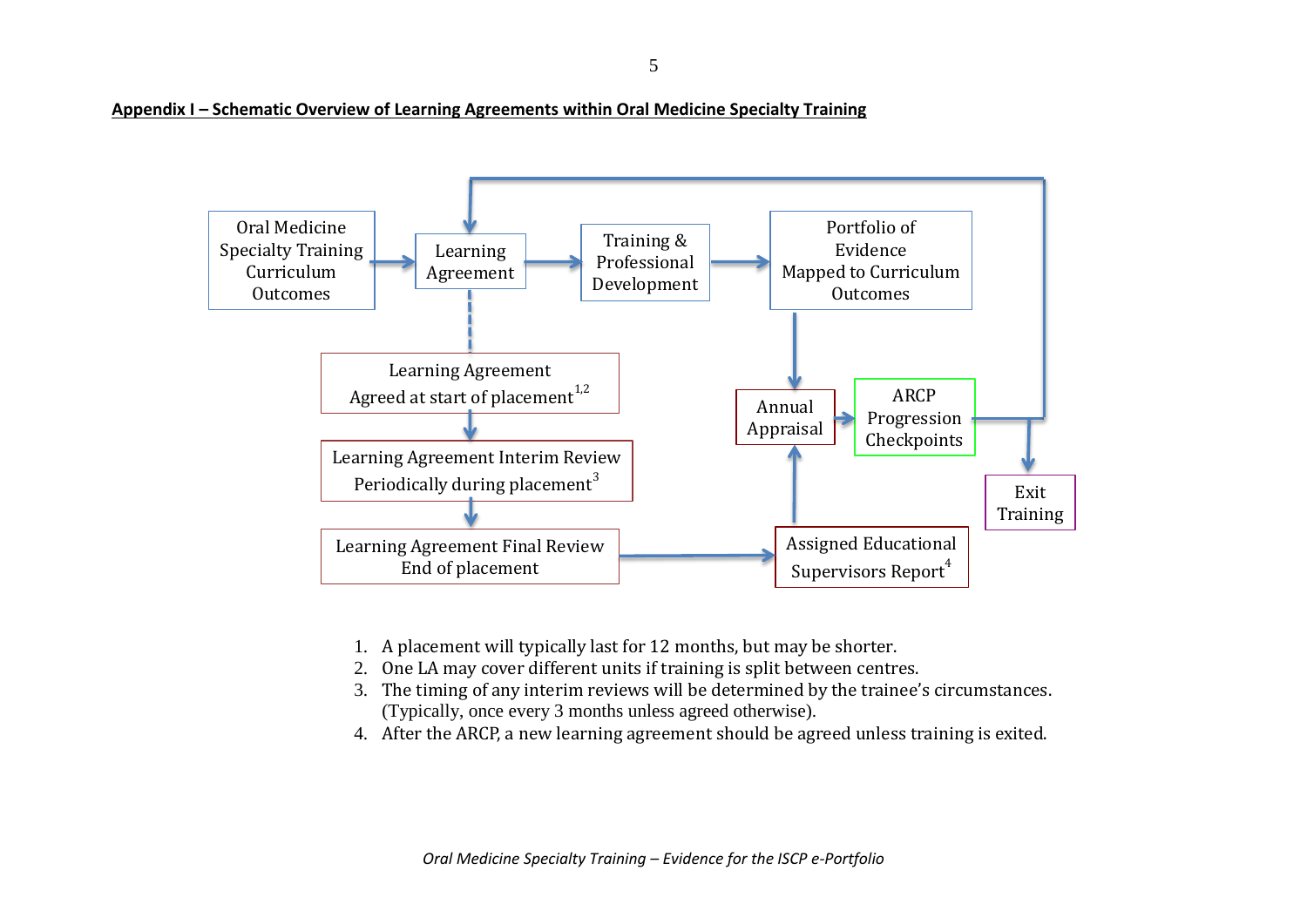**Appendix I – Schematic Overview of Learning Agreements within Oral Medicine Specialty Training**



- 1. A placement will typically last for 12 months, but may be shorter.
- 2. One LA may cover different units if training is split between centres.
- 3. The timing of any interim reviews will be determined by the trainee's circumstances. (Typically, once every 3 months unless agreed otherwise).
- 4. After the ARCP, a new learning agreement should be agreed unless training is exited.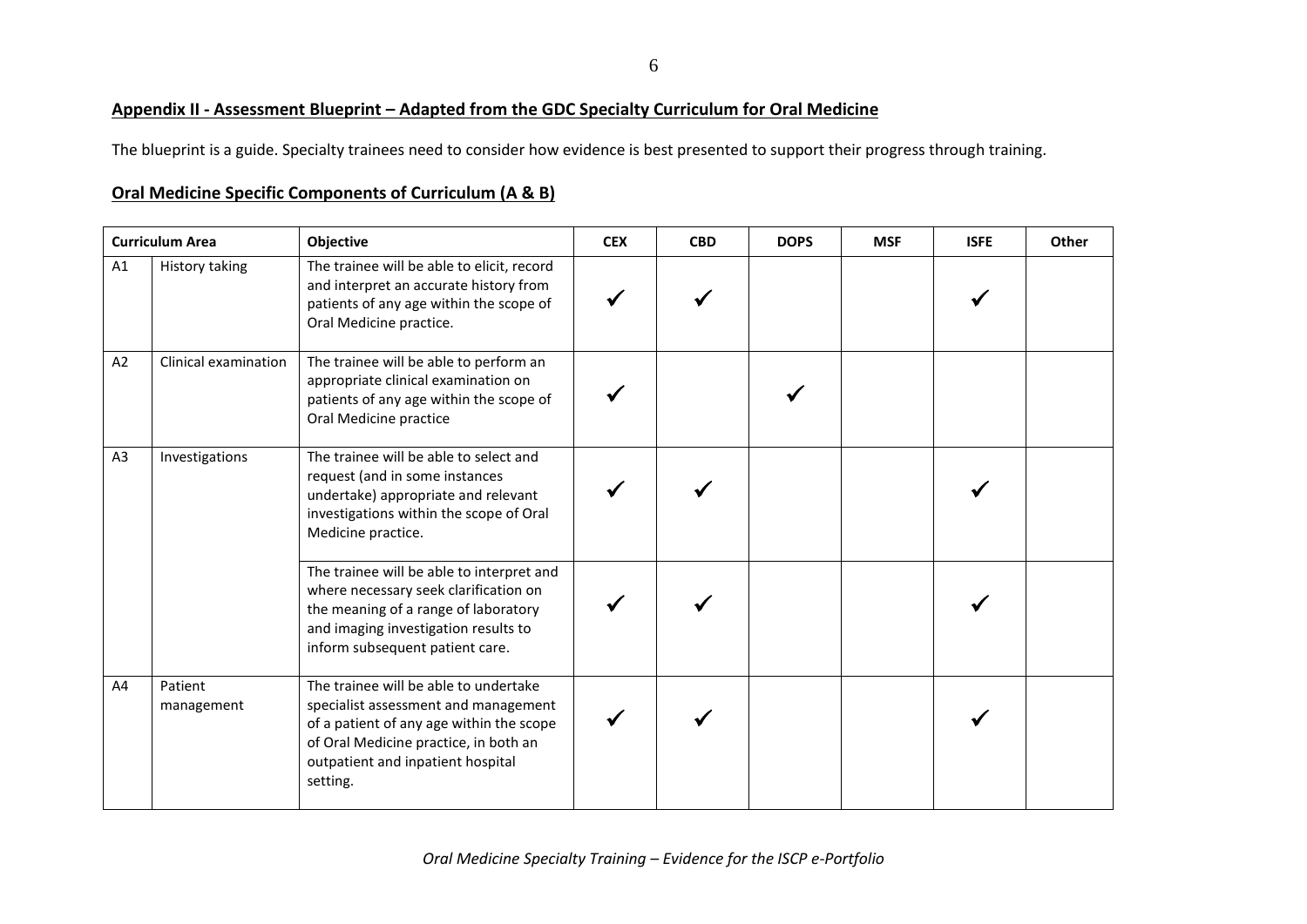#### 6

#### **Appendix II - Assessment Blueprint – Adapted from the GDC Specialty Curriculum for Oral Medicine**

The blueprint is a guide. Specialty trainees need to consider how evidence is best presented to support their progress through training.

#### **Oral Medicine Specific Components of Curriculum (A & B)**

|                | <b>Curriculum Area</b> | Objective                                                                                                                                                                                                           | <b>CEX</b> | <b>CBD</b> | <b>DOPS</b> | <b>MSF</b> | <b>ISFE</b> | Other |
|----------------|------------------------|---------------------------------------------------------------------------------------------------------------------------------------------------------------------------------------------------------------------|------------|------------|-------------|------------|-------------|-------|
| A1             | History taking         | The trainee will be able to elicit, record<br>and interpret an accurate history from<br>patients of any age within the scope of<br>Oral Medicine practice.                                                          |            |            |             |            |             |       |
| A2             | Clinical examination   | The trainee will be able to perform an<br>appropriate clinical examination on<br>patients of any age within the scope of<br>Oral Medicine practice                                                                  |            |            |             |            |             |       |
| A <sub>3</sub> | Investigations         | The trainee will be able to select and<br>request (and in some instances<br>undertake) appropriate and relevant<br>investigations within the scope of Oral<br>Medicine practice.                                    |            |            |             |            |             |       |
|                |                        | The trainee will be able to interpret and<br>where necessary seek clarification on<br>the meaning of a range of laboratory<br>and imaging investigation results to<br>inform subsequent patient care.               |            |            |             |            |             |       |
| A4             | Patient<br>management  | The trainee will be able to undertake<br>specialist assessment and management<br>of a patient of any age within the scope<br>of Oral Medicine practice, in both an<br>outpatient and inpatient hospital<br>setting. |            |            |             |            |             |       |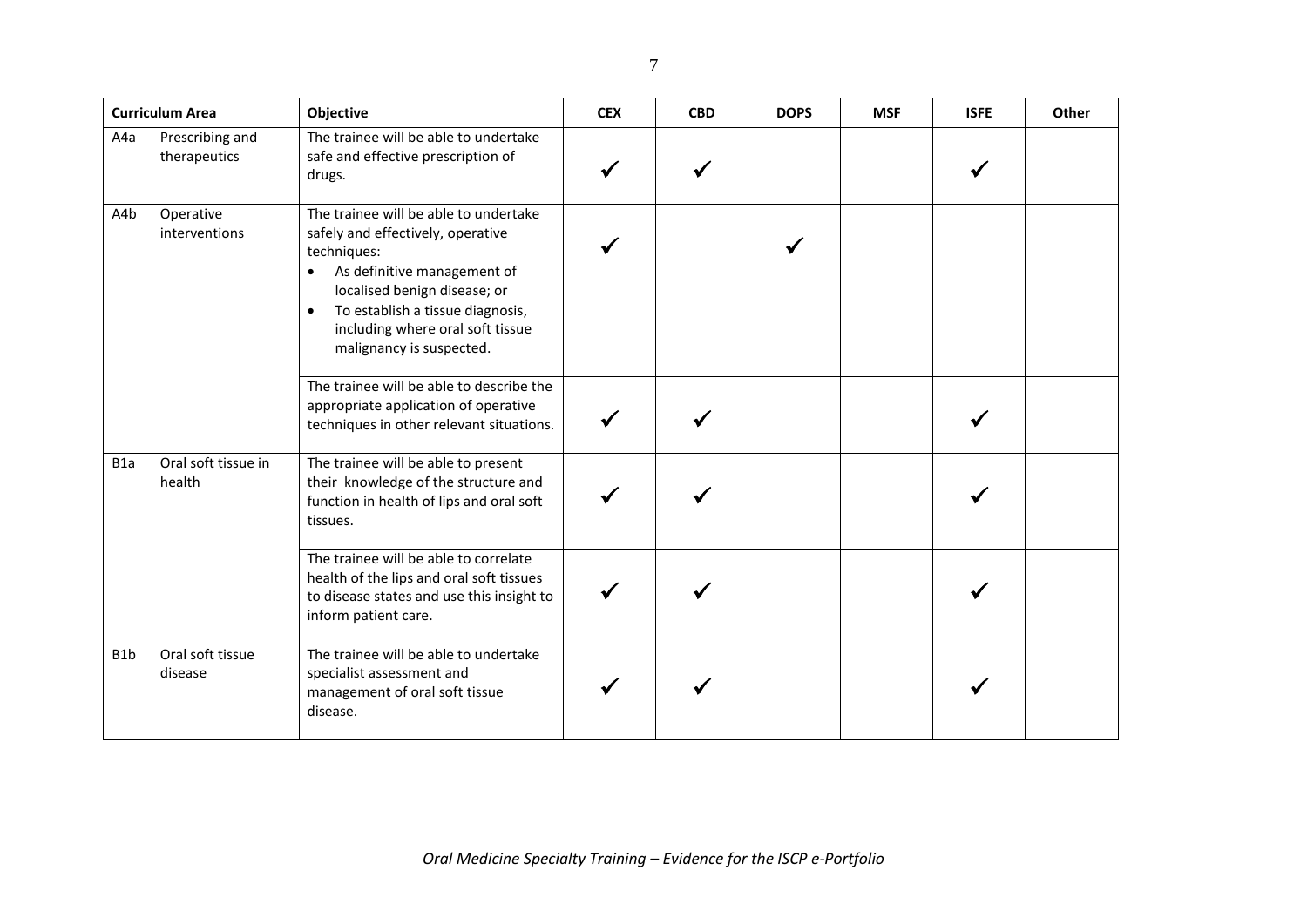|                  | <b>Curriculum Area</b>          | Objective                                                                                                                                                                                                                                                                              | <b>CEX</b> | <b>CBD</b> | <b>DOPS</b> | <b>MSF</b> | <b>ISFE</b> | Other |
|------------------|---------------------------------|----------------------------------------------------------------------------------------------------------------------------------------------------------------------------------------------------------------------------------------------------------------------------------------|------------|------------|-------------|------------|-------------|-------|
| A4a              | Prescribing and<br>therapeutics | The trainee will be able to undertake<br>safe and effective prescription of<br>drugs.                                                                                                                                                                                                  |            |            |             |            |             |       |
| A4b              | Operative<br>interventions      | The trainee will be able to undertake<br>safely and effectively, operative<br>techniques:<br>As definitive management of<br>$\bullet$<br>localised benign disease; or<br>To establish a tissue diagnosis,<br>$\bullet$<br>including where oral soft tissue<br>malignancy is suspected. |            |            |             |            |             |       |
|                  |                                 | The trainee will be able to describe the<br>appropriate application of operative<br>techniques in other relevant situations.                                                                                                                                                           |            |            |             |            |             |       |
| B <sub>1</sub> a | Oral soft tissue in<br>health   | The trainee will be able to present<br>their knowledge of the structure and<br>function in health of lips and oral soft<br>tissues.                                                                                                                                                    |            |            |             |            |             |       |
|                  |                                 | The trainee will be able to correlate<br>health of the lips and oral soft tissues<br>to disease states and use this insight to<br>inform patient care.                                                                                                                                 |            |            |             |            |             |       |
| B <sub>1</sub> b | Oral soft tissue<br>disease     | The trainee will be able to undertake<br>specialist assessment and<br>management of oral soft tissue<br>disease.                                                                                                                                                                       |            |            |             |            |             |       |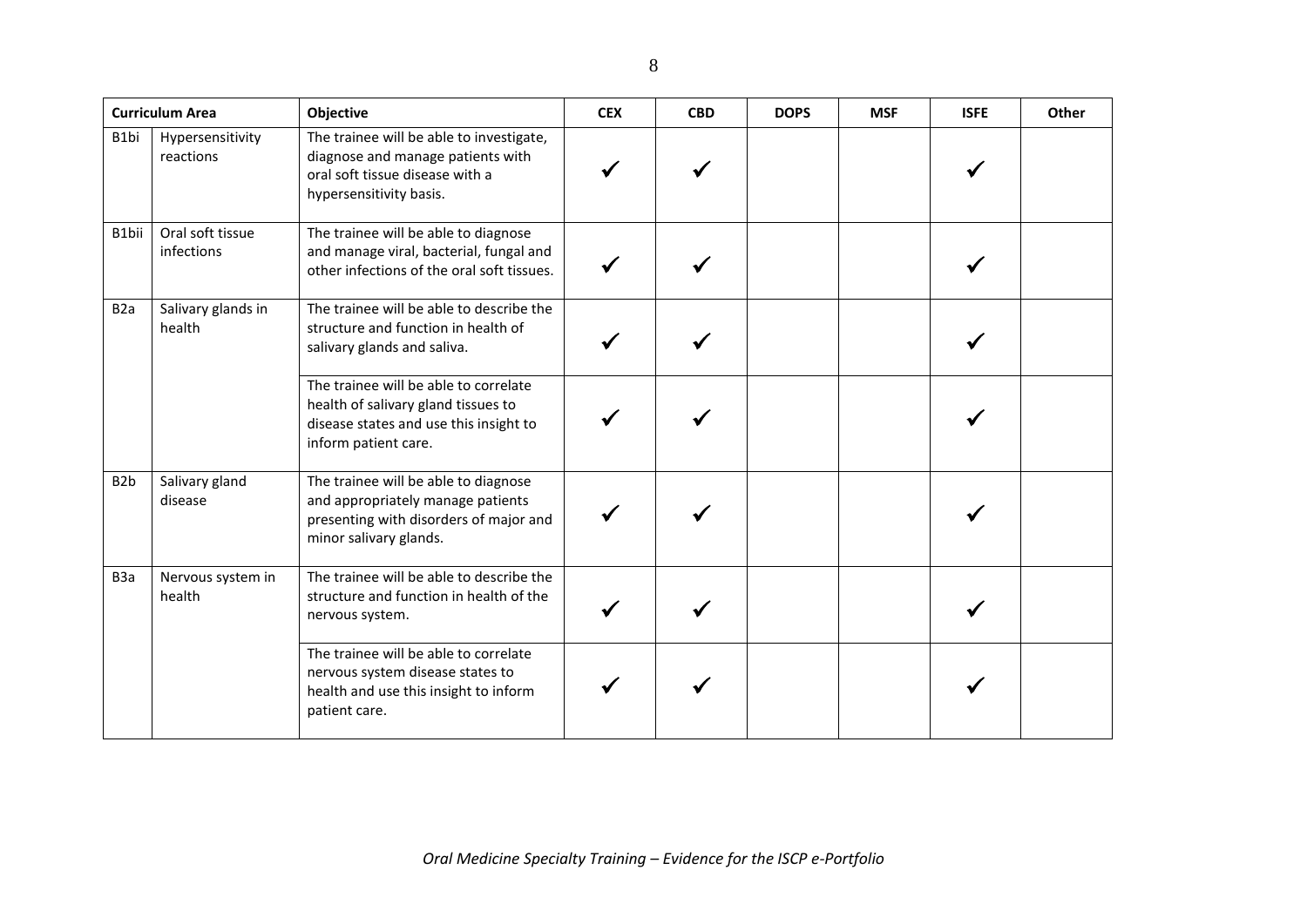|                  | <b>Curriculum Area</b>         | Objective                                                                                                                                      | <b>CEX</b> | <b>CBD</b> | <b>DOPS</b> | <b>MSF</b> | <b>ISFE</b> | Other |
|------------------|--------------------------------|------------------------------------------------------------------------------------------------------------------------------------------------|------------|------------|-------------|------------|-------------|-------|
| B1bi             | Hypersensitivity<br>reactions  | The trainee will be able to investigate,<br>diagnose and manage patients with<br>oral soft tissue disease with a<br>hypersensitivity basis.    |            |            |             |            |             |       |
| B1bii            | Oral soft tissue<br>infections | The trainee will be able to diagnose<br>and manage viral, bacterial, fungal and<br>other infections of the oral soft tissues.                  |            |            |             |            |             |       |
| B <sub>2</sub> a | Salivary glands in<br>health   | The trainee will be able to describe the<br>structure and function in health of<br>salivary glands and saliva.                                 |            |            |             |            |             |       |
|                  |                                | The trainee will be able to correlate<br>health of salivary gland tissues to<br>disease states and use this insight to<br>inform patient care. |            |            |             |            |             |       |
| B <sub>2</sub> b | Salivary gland<br>disease      | The trainee will be able to diagnose<br>and appropriately manage patients<br>presenting with disorders of major and<br>minor salivary glands.  |            |            |             |            |             |       |
| B <sub>3</sub> a | Nervous system in<br>health    | The trainee will be able to describe the<br>structure and function in health of the<br>nervous system.                                         |            |            |             |            |             |       |
|                  |                                | The trainee will be able to correlate<br>nervous system disease states to<br>health and use this insight to inform<br>patient care.            |            |            |             |            |             |       |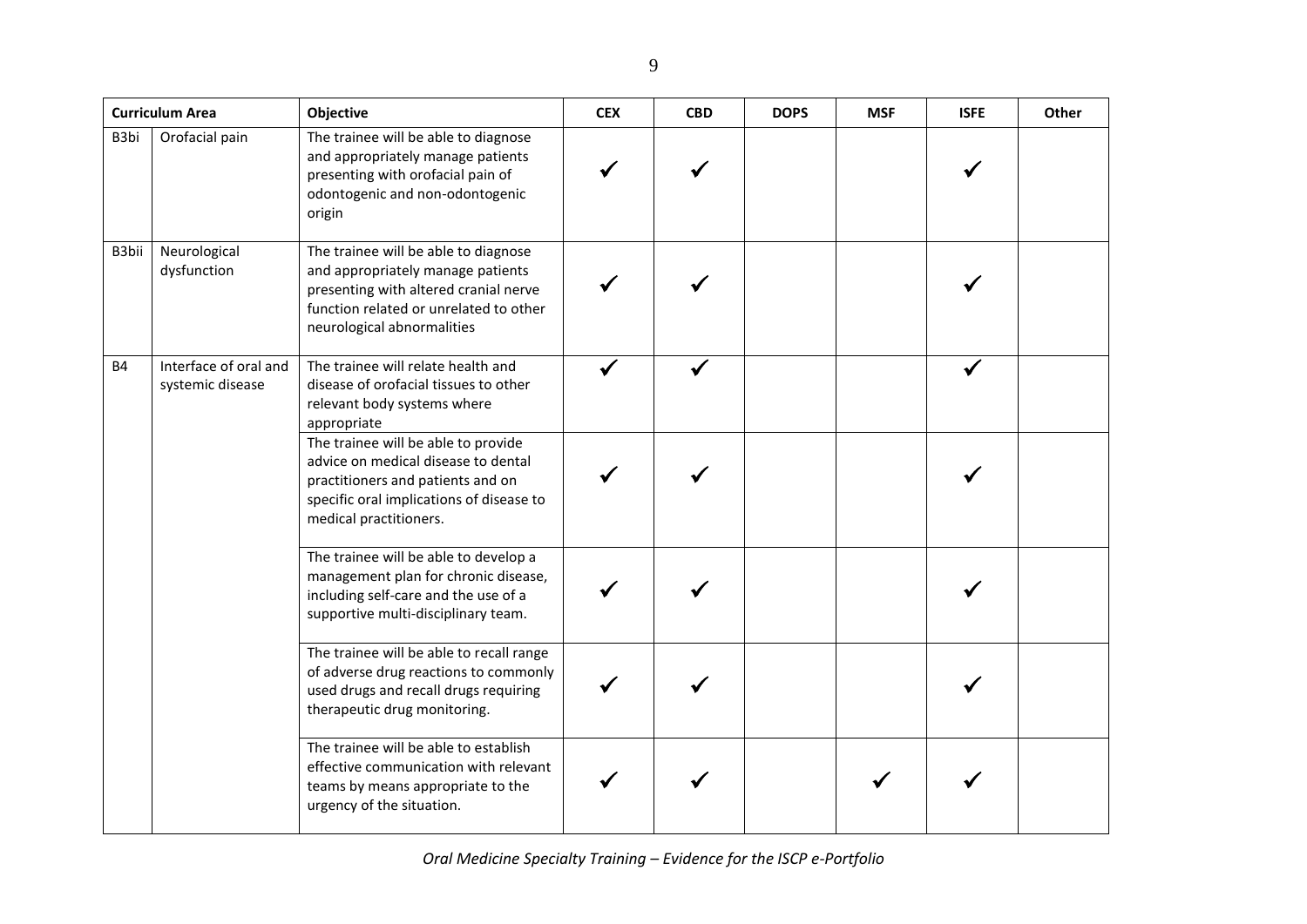|           | <b>Curriculum Area</b>                    | Objective                                                                                                                                                                                  | <b>CEX</b> | <b>CBD</b> | <b>DOPS</b> | <b>MSF</b> | <b>ISFE</b> | Other |
|-----------|-------------------------------------------|--------------------------------------------------------------------------------------------------------------------------------------------------------------------------------------------|------------|------------|-------------|------------|-------------|-------|
| B3bi      | Orofacial pain                            | The trainee will be able to diagnose<br>and appropriately manage patients<br>presenting with orofacial pain of<br>odontogenic and non-odontogenic<br>origin                                |            |            |             |            |             |       |
| B3bii     | Neurological<br>dysfunction               | The trainee will be able to diagnose<br>and appropriately manage patients<br>presenting with altered cranial nerve<br>function related or unrelated to other<br>neurological abnormalities |            |            |             |            |             |       |
| <b>B4</b> | Interface of oral and<br>systemic disease | The trainee will relate health and<br>disease of orofacial tissues to other<br>relevant body systems where<br>appropriate                                                                  |            |            |             |            |             |       |
|           |                                           | The trainee will be able to provide<br>advice on medical disease to dental<br>practitioners and patients and on<br>specific oral implications of disease to<br>medical practitioners.      |            |            |             |            |             |       |
|           |                                           | The trainee will be able to develop a<br>management plan for chronic disease,<br>including self-care and the use of a<br>supportive multi-disciplinary team.                               |            |            |             |            |             |       |
|           |                                           | The trainee will be able to recall range<br>of adverse drug reactions to commonly<br>used drugs and recall drugs requiring<br>therapeutic drug monitoring.                                 |            |            |             |            |             |       |
|           |                                           | The trainee will be able to establish<br>effective communication with relevant<br>teams by means appropriate to the<br>urgency of the situation.                                           |            |            |             |            |             |       |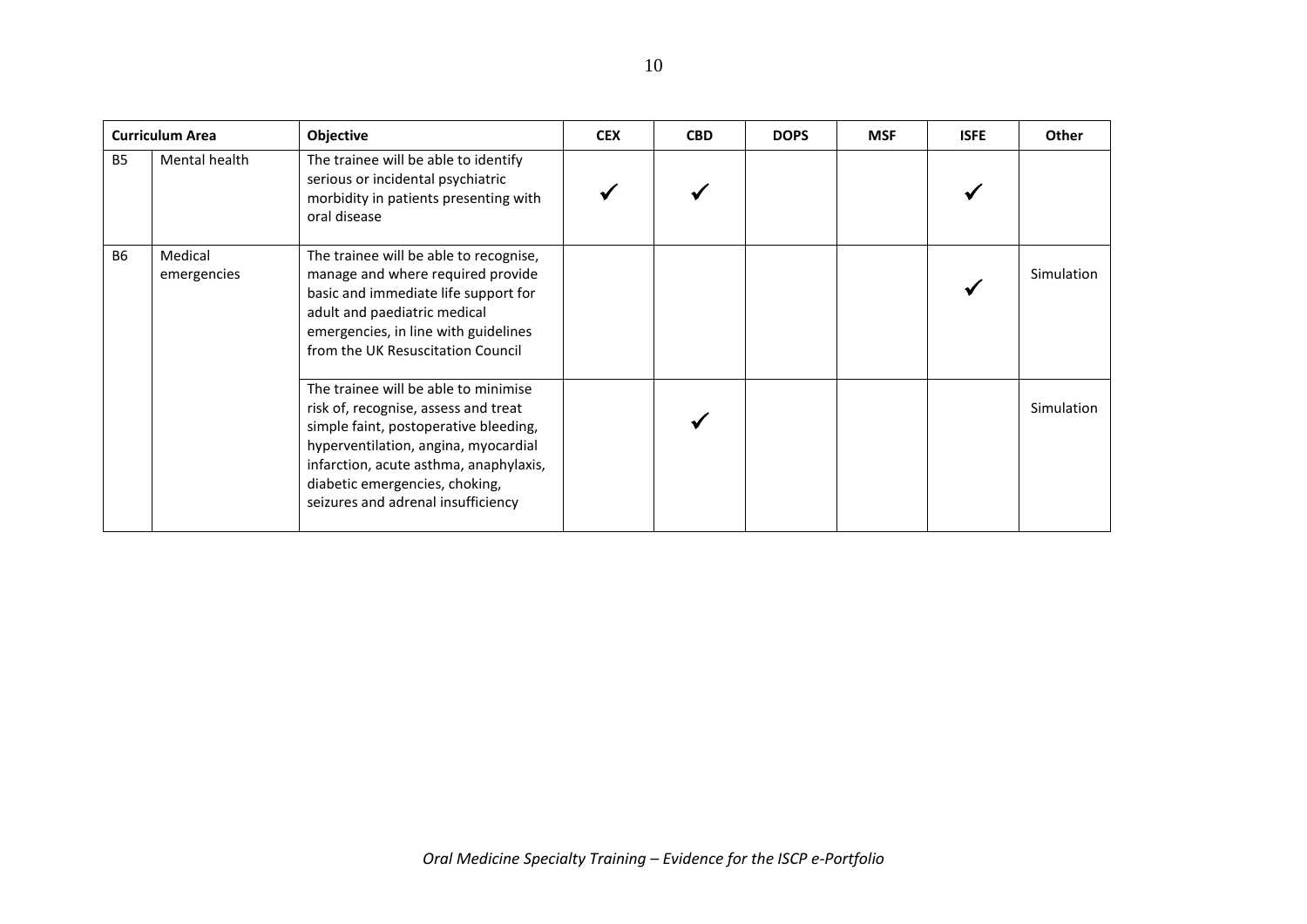| <b>Curriculum Area</b> |                        | Objective                                                                                                                                                                                                                                                                       | <b>CEX</b> | <b>CBD</b> | <b>DOPS</b> | <b>MSF</b> | <b>ISFE</b> | Other      |
|------------------------|------------------------|---------------------------------------------------------------------------------------------------------------------------------------------------------------------------------------------------------------------------------------------------------------------------------|------------|------------|-------------|------------|-------------|------------|
| <b>B5</b>              | Mental health          | The trainee will be able to identify<br>serious or incidental psychiatric<br>morbidity in patients presenting with<br>oral disease                                                                                                                                              |            |            |             |            |             |            |
| <b>B6</b>              | Medical<br>emergencies | The trainee will be able to recognise,<br>manage and where required provide<br>basic and immediate life support for<br>adult and paediatric medical<br>emergencies, in line with guidelines<br>from the UK Resuscitation Council                                                |            |            |             |            |             | Simulation |
|                        |                        | The trainee will be able to minimise<br>risk of, recognise, assess and treat<br>simple faint, postoperative bleeding,<br>hyperventilation, angina, myocardial<br>infarction, acute asthma, anaphylaxis,<br>diabetic emergencies, choking,<br>seizures and adrenal insufficiency |            |            |             |            |             | Simulation |